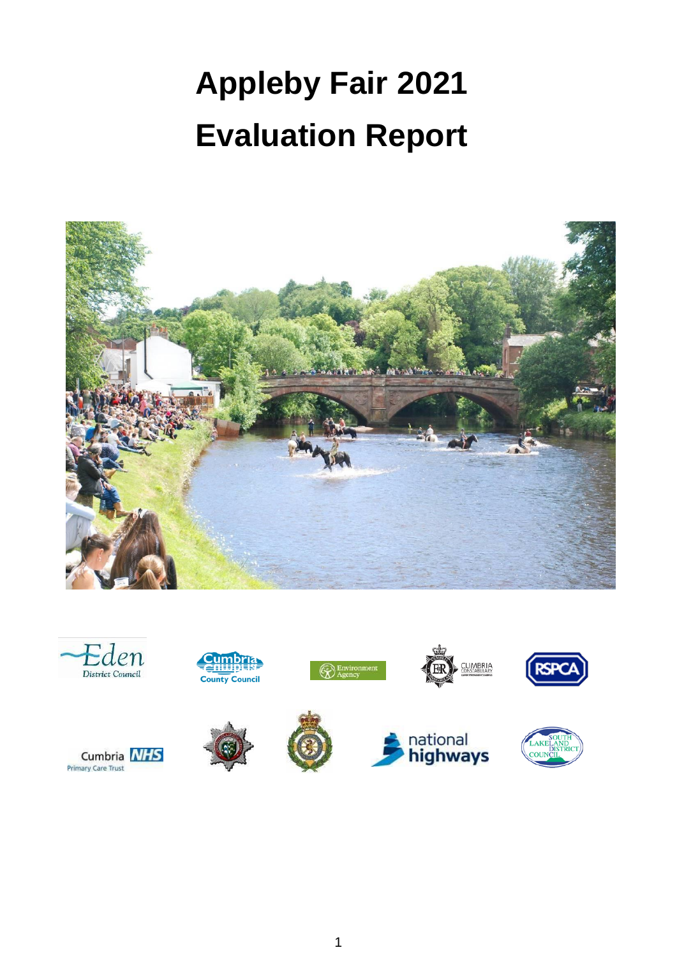# **Appleby Fair 2021 Evaluation Report**











**County Council** 



 $\mathbb{R}$  Environn



**JMBRIA** 



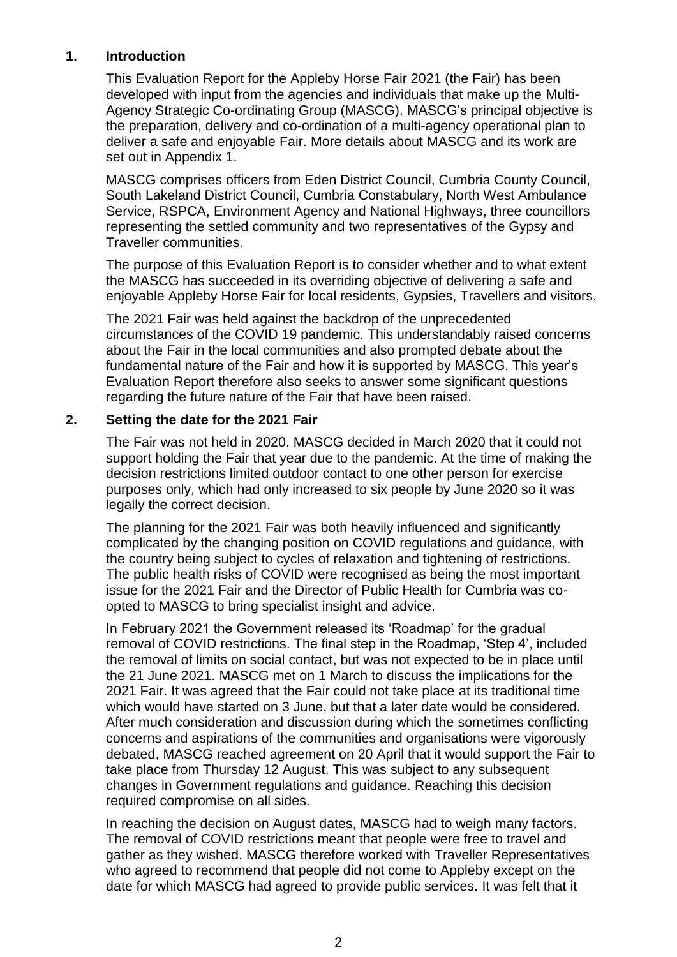# **1. Introduction**

This Evaluation Report for the Appleby Horse Fair 2021 (the Fair) has been developed with input from the agencies and individuals that make up the Multi-Agency Strategic Co-ordinating Group (MASCG). MASCG's principal objective is the preparation, delivery and co-ordination of a multi-agency operational plan to deliver a safe and enjoyable Fair. More details about MASCG and its work are set out in Appendix 1.

MASCG comprises officers from Eden District Council, Cumbria County Council, South Lakeland District Council, Cumbria Constabulary, North West Ambulance Service, RSPCA, Environment Agency and National Highways, three councillors representing the settled community and two representatives of the Gypsy and Traveller communities.

The purpose of this Evaluation Report is to consider whether and to what extent the MASCG has succeeded in its overriding objective of delivering a safe and enjoyable Appleby Horse Fair for local residents, Gypsies, Travellers and visitors.

The 2021 Fair was held against the backdrop of the unprecedented circumstances of the COVID 19 pandemic. This understandably raised concerns about the Fair in the local communities and also prompted debate about the fundamental nature of the Fair and how it is supported by MASCG. This year's Evaluation Report therefore also seeks to answer some significant questions regarding the future nature of the Fair that have been raised.

## **2. Setting the date for the 2021 Fair**

The Fair was not held in 2020. MASCG decided in March 2020 that it could not support holding the Fair that year due to the pandemic. At the time of making the decision restrictions limited outdoor contact to one other person for exercise purposes only, which had only increased to six people by June 2020 so it was legally the correct decision.

The planning for the 2021 Fair was both heavily influenced and significantly complicated by the changing position on COVID regulations and guidance, with the country being subject to cycles of relaxation and tightening of restrictions. The public health risks of COVID were recognised as being the most important issue for the 2021 Fair and the Director of Public Health for Cumbria was coopted to MASCG to bring specialist insight and advice.

In February 2021 the Government released its 'Roadmap' for the gradual removal of COVID restrictions. The final step in the Roadmap, 'Step 4', included the removal of limits on social contact, but was not expected to be in place until the 21 June 2021. MASCG met on 1 March to discuss the implications for the 2021 Fair. It was agreed that the Fair could not take place at its traditional time which would have started on 3 June, but that a later date would be considered. After much consideration and discussion during which the sometimes conflicting concerns and aspirations of the communities and organisations were vigorously debated, MASCG reached agreement on 20 April that it would support the Fair to take place from Thursday 12 August. This was subject to any subsequent changes in Government regulations and guidance. Reaching this decision required compromise on all sides.

In reaching the decision on August dates, MASCG had to weigh many factors. The removal of COVID restrictions meant that people were free to travel and gather as they wished. MASCG therefore worked with Traveller Representatives who agreed to recommend that people did not come to Appleby except on the date for which MASCG had agreed to provide public services. It was felt that it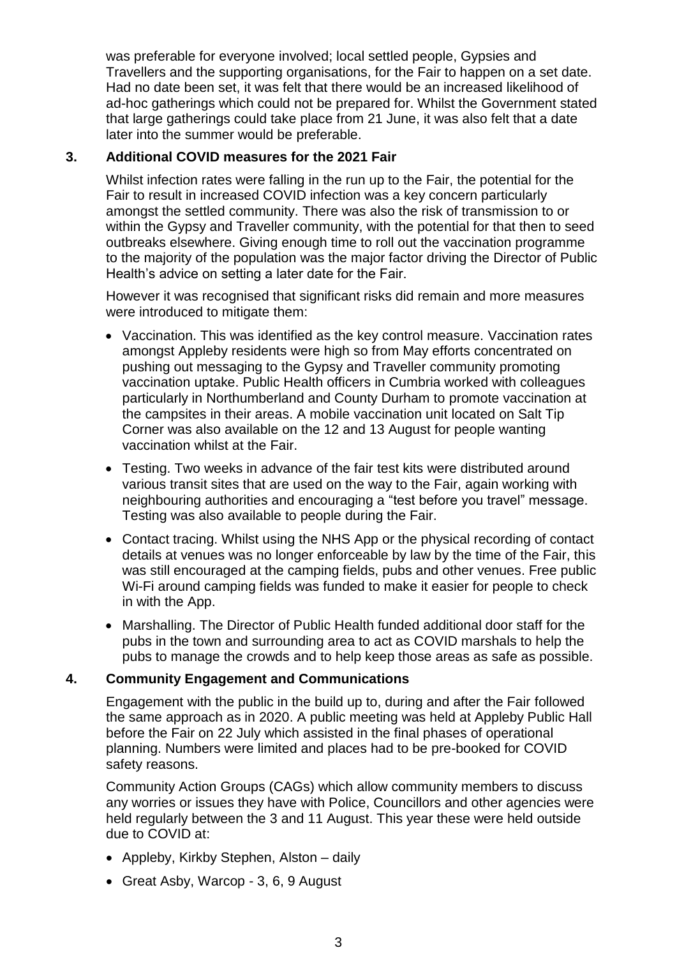was preferable for everyone involved; local settled people, Gypsies and Travellers and the supporting organisations, for the Fair to happen on a set date. Had no date been set, it was felt that there would be an increased likelihood of ad-hoc gatherings which could not be prepared for. Whilst the Government stated that large gatherings could take place from 21 June, it was also felt that a date later into the summer would be preferable.

# **3. Additional COVID measures for the 2021 Fair**

Whilst infection rates were falling in the run up to the Fair, the potential for the Fair to result in increased COVID infection was a key concern particularly amongst the settled community. There was also the risk of transmission to or within the Gypsy and Traveller community, with the potential for that then to seed outbreaks elsewhere. Giving enough time to roll out the vaccination programme to the majority of the population was the major factor driving the Director of Public Health's advice on setting a later date for the Fair.

However it was recognised that significant risks did remain and more measures were introduced to mitigate them:

- Vaccination. This was identified as the key control measure. Vaccination rates amongst Appleby residents were high so from May efforts concentrated on pushing out messaging to the Gypsy and Traveller community promoting vaccination uptake. Public Health officers in Cumbria worked with colleagues particularly in Northumberland and County Durham to promote vaccination at the campsites in their areas. A mobile vaccination unit located on Salt Tip Corner was also available on the 12 and 13 August for people wanting vaccination whilst at the Fair.
- Testing. Two weeks in advance of the fair test kits were distributed around various transit sites that are used on the way to the Fair, again working with neighbouring authorities and encouraging a "test before you travel" message. Testing was also available to people during the Fair.
- Contact tracing. Whilst using the NHS App or the physical recording of contact details at venues was no longer enforceable by law by the time of the Fair, this was still encouraged at the camping fields, pubs and other venues. Free public Wi-Fi around camping fields was funded to make it easier for people to check in with the App.
- Marshalling. The Director of Public Health funded additional door staff for the pubs in the town and surrounding area to act as COVID marshals to help the pubs to manage the crowds and to help keep those areas as safe as possible.

#### **4. Community Engagement and Communications**

Engagement with the public in the build up to, during and after the Fair followed the same approach as in 2020. A public meeting was held at Appleby Public Hall before the Fair on 22 July which assisted in the final phases of operational planning. Numbers were limited and places had to be pre-booked for COVID safety reasons.

Community Action Groups (CAGs) which allow community members to discuss any worries or issues they have with Police, Councillors and other agencies were held regularly between the 3 and 11 August. This year these were held outside due to COVID at:

- Appleby, Kirkby Stephen, Alston daily
- Great Asby, Warcop 3, 6, 9 August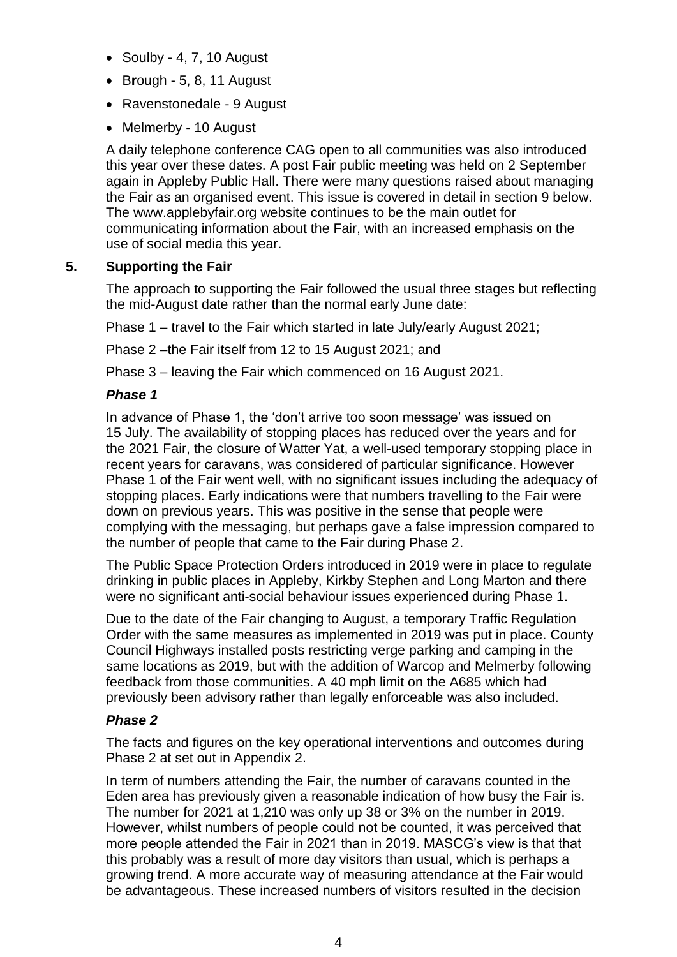- $\bullet$  Soulby 4, 7, 10 August
- B**r**ough 5, 8, 11 August
- Ravenstonedale 9 August
- Melmerby 10 August

A daily telephone conference CAG open to all communities was also introduced this year over these dates. A post Fair public meeting was held on 2 September again in Appleby Public Hall. There were many questions raised about managing the Fair as an organised event. This issue is covered in detail in section 9 below. The www.applebyfair.org website continues to be the main outlet for communicating information about the Fair, with an increased emphasis on the use of social media this year.

# **5. Supporting the Fair**

The approach to supporting the Fair followed the usual three stages but reflecting the mid-August date rather than the normal early June date:

Phase 1 – travel to the Fair which started in late July/early August 2021;

Phase 2 –the Fair itself from 12 to 15 August 2021; and

Phase 3 – leaving the Fair which commenced on 16 August 2021.

## *Phase 1*

In advance of Phase 1, the 'don't arrive too soon message' was issued on 15 July. The availability of stopping places has reduced over the years and for the 2021 Fair, the closure of Watter Yat, a well-used temporary stopping place in recent years for caravans, was considered of particular significance. However Phase 1 of the Fair went well, with no significant issues including the adequacy of stopping places. Early indications were that numbers travelling to the Fair were down on previous years. This was positive in the sense that people were complying with the messaging, but perhaps gave a false impression compared to the number of people that came to the Fair during Phase 2.

The Public Space Protection Orders introduced in 2019 were in place to regulate drinking in public places in Appleby, Kirkby Stephen and Long Marton and there were no significant anti-social behaviour issues experienced during Phase 1.

Due to the date of the Fair changing to August, a temporary Traffic Regulation Order with the same measures as implemented in 2019 was put in place. County Council Highways installed posts restricting verge parking and camping in the same locations as 2019, but with the addition of Warcop and Melmerby following feedback from those communities. A 40 mph limit on the A685 which had previously been advisory rather than legally enforceable was also included.

#### *Phase 2*

The facts and figures on the key operational interventions and outcomes during Phase 2 at set out in Appendix 2.

In term of numbers attending the Fair, the number of caravans counted in the Eden area has previously given a reasonable indication of how busy the Fair is. The number for 2021 at 1,210 was only up 38 or 3% on the number in 2019. However, whilst numbers of people could not be counted, it was perceived that more people attended the Fair in 2021 than in 2019. MASCG's view is that that this probably was a result of more day visitors than usual, which is perhaps a growing trend. A more accurate way of measuring attendance at the Fair would be advantageous. These increased numbers of visitors resulted in the decision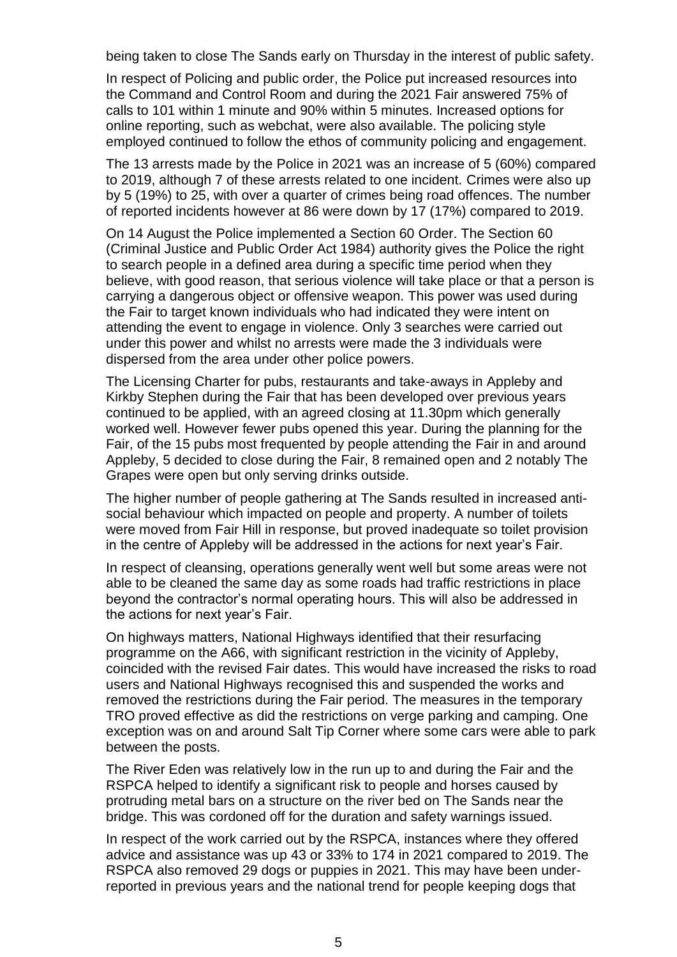being taken to close The Sands early on Thursday in the interest of public safety.

In respect of Policing and public order, the Police put increased resources into the Command and Control Room and during the 2021 Fair answered 75% of calls to 101 within 1 minute and 90% within 5 minutes. Increased options for online reporting, such as webchat, were also available. The policing style employed continued to follow the ethos of community policing and engagement.

The 13 arrests made by the Police in 2021 was an increase of 5 (60%) compared to 2019, although 7 of these arrests related to one incident. Crimes were also up by 5 (19%) to 25, with over a quarter of crimes being road offences. The number of reported incidents however at 86 were down by 17 (17%) compared to 2019.

On 14 August the Police implemented a Section 60 Order. The Section 60 (Criminal Justice and Public Order Act 1984) authority gives the Police the right to search people in a defined area during a specific time period when they believe, with good reason, that serious violence will take place or that a person is carrying a dangerous object or offensive weapon. This power was used during the Fair to target known individuals who had indicated they were intent on attending the event to engage in violence. Only 3 searches were carried out under this power and whilst no arrests were made the 3 individuals were dispersed from the area under other police powers.

The Licensing Charter for pubs, restaurants and take-aways in Appleby and Kirkby Stephen during the Fair that has been developed over previous years continued to be applied, with an agreed closing at 11.30pm which generally worked well. However fewer pubs opened this year. During the planning for the Fair, of the 15 pubs most frequented by people attending the Fair in and around Appleby, 5 decided to close during the Fair, 8 remained open and 2 notably The Grapes were open but only serving drinks outside.

The higher number of people gathering at The Sands resulted in increased antisocial behaviour which impacted on people and property. A number of toilets were moved from Fair Hill in response, but proved inadequate so toilet provision in the centre of Appleby will be addressed in the actions for next year's Fair.

In respect of cleansing, operations generally went well but some areas were not able to be cleaned the same day as some roads had traffic restrictions in place beyond the contractor's normal operating hours. This will also be addressed in the actions for next year's Fair.

On highways matters, National Highways identified that their resurfacing programme on the A66, with significant restriction in the vicinity of Appleby, coincided with the revised Fair dates. This would have increased the risks to road users and National Highways recognised this and suspended the works and removed the restrictions during the Fair period. The measures in the temporary TRO proved effective as did the restrictions on verge parking and camping. One exception was on and around Salt Tip Corner where some cars were able to park between the posts.

The River Eden was relatively low in the run up to and during the Fair and the RSPCA helped to identify a significant risk to people and horses caused by protruding metal bars on a structure on the river bed on The Sands near the bridge. This was cordoned off for the duration and safety warnings issued.

In respect of the work carried out by the RSPCA, instances where they offered advice and assistance was up 43 or 33% to 174 in 2021 compared to 2019. The RSPCA also removed 29 dogs or puppies in 2021. This may have been underreported in previous years and the national trend for people keeping dogs that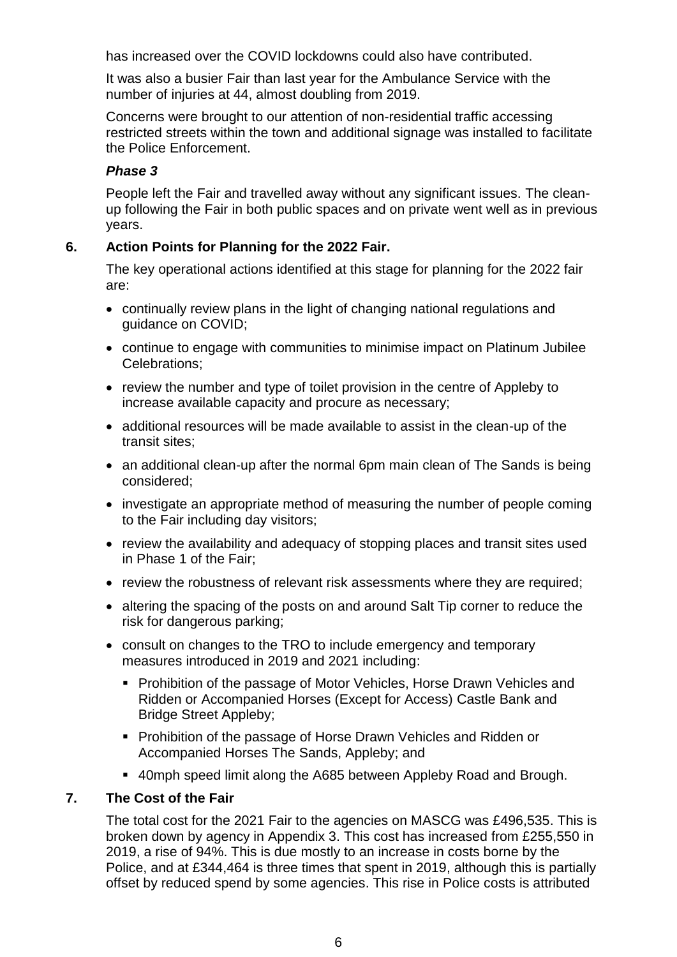has increased over the COVID lockdowns could also have contributed.

It was also a busier Fair than last year for the Ambulance Service with the number of injuries at 44, almost doubling from 2019.

Concerns were brought to our attention of non-residential traffic accessing restricted streets within the town and additional signage was installed to facilitate the Police Enforcement.

# *Phase 3*

People left the Fair and travelled away without any significant issues. The cleanup following the Fair in both public spaces and on private went well as in previous years.

# **6. Action Points for Planning for the 2022 Fair.**

The key operational actions identified at this stage for planning for the 2022 fair are:

- continually review plans in the light of changing national regulations and guidance on COVID;
- continue to engage with communities to minimise impact on Platinum Jubilee Celebrations;
- review the number and type of toilet provision in the centre of Appleby to increase available capacity and procure as necessary;
- additional resources will be made available to assist in the clean-up of the transit sites;
- an additional clean-up after the normal 6pm main clean of The Sands is being considered;
- investigate an appropriate method of measuring the number of people coming to the Fair including day visitors;
- review the availability and adequacy of stopping places and transit sites used in Phase 1 of the Fair;
- review the robustness of relevant risk assessments where they are required;
- altering the spacing of the posts on and around Salt Tip corner to reduce the risk for dangerous parking;
- consult on changes to the TRO to include emergency and temporary measures introduced in 2019 and 2021 including:
	- **Prohibition of the passage of Motor Vehicles, Horse Drawn Vehicles and** Ridden or Accompanied Horses (Except for Access) Castle Bank and Bridge Street Appleby;
	- **Prohibition of the passage of Horse Drawn Vehicles and Ridden or** Accompanied Horses The Sands, Appleby; and
	- 40mph speed limit along the A685 between Appleby Road and Brough.

# **7. The Cost of the Fair**

The total cost for the 2021 Fair to the agencies on MASCG was £496,535. This is broken down by agency in Appendix 3. This cost has increased from £255,550 in 2019, a rise of 94%. This is due mostly to an increase in costs borne by the Police, and at £344,464 is three times that spent in 2019, although this is partially offset by reduced spend by some agencies. This rise in Police costs is attributed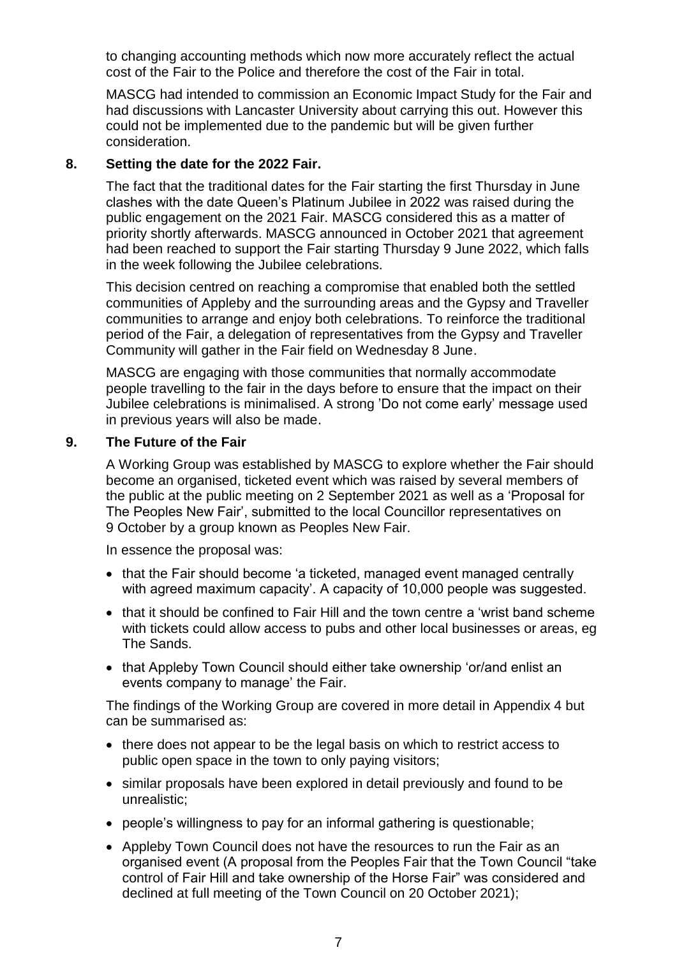to changing accounting methods which now more accurately reflect the actual cost of the Fair to the Police and therefore the cost of the Fair in total.

MASCG had intended to commission an Economic Impact Study for the Fair and had discussions with Lancaster University about carrying this out. However this could not be implemented due to the pandemic but will be given further consideration.

## **8. Setting the date for the 2022 Fair.**

The fact that the traditional dates for the Fair starting the first Thursday in June clashes with the date Queen's Platinum Jubilee in 2022 was raised during the public engagement on the 2021 Fair. MASCG considered this as a matter of priority shortly afterwards. MASCG announced in October 2021 that agreement had been reached to support the Fair starting Thursday 9 June 2022, which falls in the week following the Jubilee celebrations.

This decision centred on reaching a compromise that enabled both the settled communities of Appleby and the surrounding areas and the Gypsy and Traveller communities to arrange and enjoy both celebrations. To reinforce the traditional period of the Fair, a delegation of representatives from the Gypsy and Traveller Community will gather in the Fair field on Wednesday 8 June.

MASCG are engaging with those communities that normally accommodate people travelling to the fair in the days before to ensure that the impact on their Jubilee celebrations is minimalised. A strong 'Do not come early' message used in previous years will also be made.

## **9. The Future of the Fair**

A Working Group was established by MASCG to explore whether the Fair should become an organised, ticketed event which was raised by several members of the public at the public meeting on 2 September 2021 as well as a 'Proposal for The Peoples New Fair', submitted to the local Councillor representatives on 9 October by a group known as Peoples New Fair.

In essence the proposal was:

- that the Fair should become 'a ticketed, managed event managed centrally with agreed maximum capacity'. A capacity of 10,000 people was suggested.
- that it should be confined to Fair Hill and the town centre a 'wrist band scheme with tickets could allow access to pubs and other local businesses or areas, eg The Sands.
- that Appleby Town Council should either take ownership 'or/and enlist an events company to manage' the Fair.

The findings of the Working Group are covered in more detail in Appendix 4 but can be summarised as:

- there does not appear to be the legal basis on which to restrict access to public open space in the town to only paying visitors;
- similar proposals have been explored in detail previously and found to be unrealistic;
- people's willingness to pay for an informal gathering is questionable;
- Appleby Town Council does not have the resources to run the Fair as an organised event (A proposal from the Peoples Fair that the Town Council "take control of Fair Hill and take ownership of the Horse Fair" was considered and declined at full meeting of the Town Council on 20 October 2021);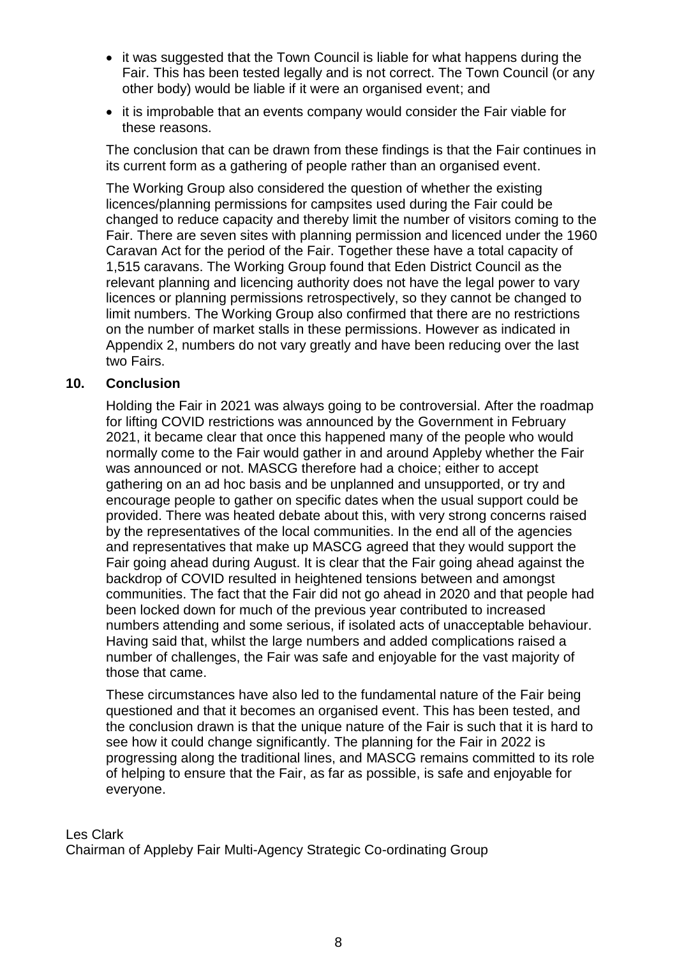- it was suggested that the Town Council is liable for what happens during the Fair. This has been tested legally and is not correct. The Town Council (or any other body) would be liable if it were an organised event; and
- it is improbable that an events company would consider the Fair viable for these reasons.

The conclusion that can be drawn from these findings is that the Fair continues in its current form as a gathering of people rather than an organised event.

The Working Group also considered the question of whether the existing licences/planning permissions for campsites used during the Fair could be changed to reduce capacity and thereby limit the number of visitors coming to the Fair. There are seven sites with planning permission and licenced under the 1960 Caravan Act for the period of the Fair. Together these have a total capacity of 1,515 caravans. The Working Group found that Eden District Council as the relevant planning and licencing authority does not have the legal power to vary licences or planning permissions retrospectively, so they cannot be changed to limit numbers. The Working Group also confirmed that there are no restrictions on the number of market stalls in these permissions. However as indicated in Appendix 2, numbers do not vary greatly and have been reducing over the last two Fairs.

#### **10. Conclusion**

Holding the Fair in 2021 was always going to be controversial. After the roadmap for lifting COVID restrictions was announced by the Government in February 2021, it became clear that once this happened many of the people who would normally come to the Fair would gather in and around Appleby whether the Fair was announced or not. MASCG therefore had a choice; either to accept gathering on an ad hoc basis and be unplanned and unsupported, or try and encourage people to gather on specific dates when the usual support could be provided. There was heated debate about this, with very strong concerns raised by the representatives of the local communities. In the end all of the agencies and representatives that make up MASCG agreed that they would support the Fair going ahead during August. It is clear that the Fair going ahead against the backdrop of COVID resulted in heightened tensions between and amongst communities. The fact that the Fair did not go ahead in 2020 and that people had been locked down for much of the previous year contributed to increased numbers attending and some serious, if isolated acts of unacceptable behaviour. Having said that, whilst the large numbers and added complications raised a number of challenges, the Fair was safe and enjoyable for the vast majority of those that came.

These circumstances have also led to the fundamental nature of the Fair being questioned and that it becomes an organised event. This has been tested, and the conclusion drawn is that the unique nature of the Fair is such that it is hard to see how it could change significantly. The planning for the Fair in 2022 is progressing along the traditional lines, and MASCG remains committed to its role of helping to ensure that the Fair, as far as possible, is safe and enjoyable for everyone.

Les Clark Chairman of Appleby Fair Multi-Agency Strategic Co-ordinating Group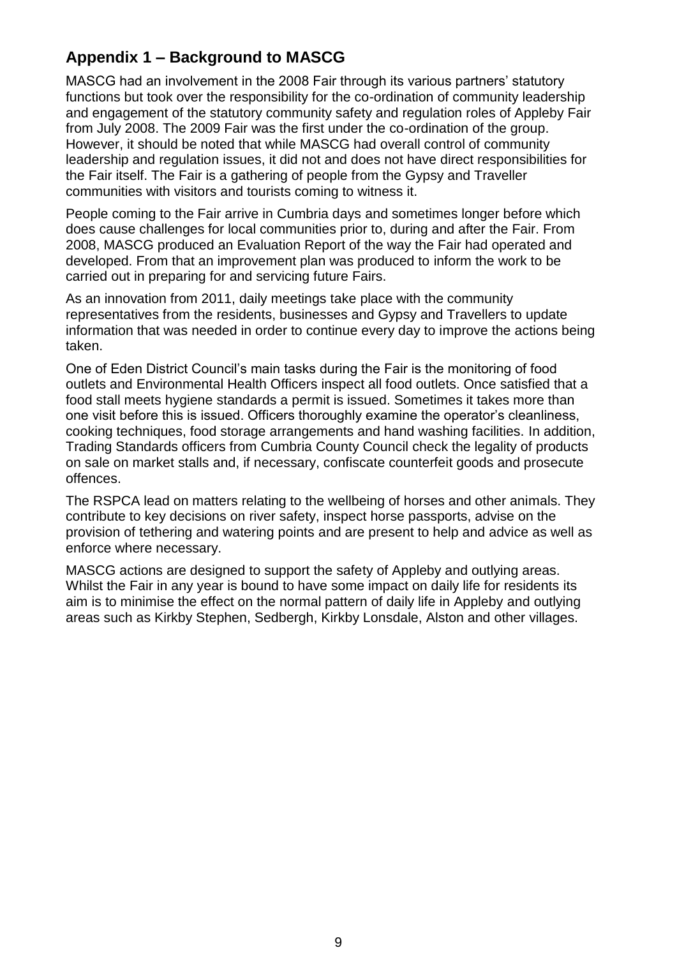# **Appendix 1 – Background to MASCG**

MASCG had an involvement in the 2008 Fair through its various partners' statutory functions but took over the responsibility for the co-ordination of community leadership and engagement of the statutory community safety and regulation roles of Appleby Fair from July 2008. The 2009 Fair was the first under the co-ordination of the group. However, it should be noted that while MASCG had overall control of community leadership and regulation issues, it did not and does not have direct responsibilities for the Fair itself. The Fair is a gathering of people from the Gypsy and Traveller communities with visitors and tourists coming to witness it.

People coming to the Fair arrive in Cumbria days and sometimes longer before which does cause challenges for local communities prior to, during and after the Fair. From 2008, MASCG produced an Evaluation Report of the way the Fair had operated and developed. From that an improvement plan was produced to inform the work to be carried out in preparing for and servicing future Fairs.

As an innovation from 2011, daily meetings take place with the community representatives from the residents, businesses and Gypsy and Travellers to update information that was needed in order to continue every day to improve the actions being taken.

One of Eden District Council's main tasks during the Fair is the monitoring of food outlets and Environmental Health Officers inspect all food outlets. Once satisfied that a food stall meets hygiene standards a permit is issued. Sometimes it takes more than one visit before this is issued. Officers thoroughly examine the operator's cleanliness, cooking techniques, food storage arrangements and hand washing facilities. In addition, Trading Standards officers from Cumbria County Council check the legality of products on sale on market stalls and, if necessary, confiscate counterfeit goods and prosecute offences.

The RSPCA lead on matters relating to the wellbeing of horses and other animals. They contribute to key decisions on river safety, inspect horse passports, advise on the provision of tethering and watering points and are present to help and advice as well as enforce where necessary.

MASCG actions are designed to support the safety of Appleby and outlying areas. Whilst the Fair in any year is bound to have some impact on daily life for residents its aim is to minimise the effect on the normal pattern of daily life in Appleby and outlying areas such as Kirkby Stephen, Sedbergh, Kirkby Lonsdale, Alston and other villages.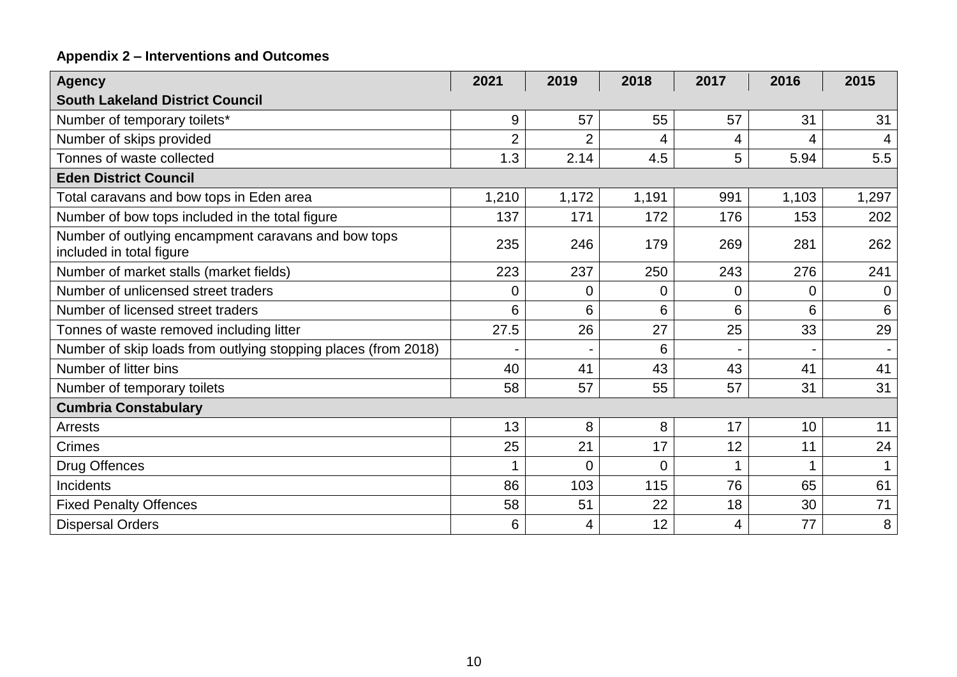# **Appendix 2 – Interventions and Outcomes**

| <b>Agency</b>                                                                   | 2021           | 2019           | 2018  | 2017 | 2016  | 2015        |  |  |
|---------------------------------------------------------------------------------|----------------|----------------|-------|------|-------|-------------|--|--|
| <b>South Lakeland District Council</b>                                          |                |                |       |      |       |             |  |  |
| Number of temporary toilets*                                                    | 9              | 57             | 55    | 57   | 31    | 31          |  |  |
| Number of skips provided                                                        | $\overline{2}$ | $\overline{2}$ | 4     | 4    | 4     |             |  |  |
| Tonnes of waste collected                                                       | 1.3            | 2.14           | 4.5   | 5    | 5.94  | 5.5         |  |  |
| <b>Eden District Council</b>                                                    |                |                |       |      |       |             |  |  |
| Total caravans and bow tops in Eden area                                        | 1,210          | 1,172          | 1,191 | 991  | 1,103 | 1,297       |  |  |
| Number of bow tops included in the total figure                                 | 137            | 171            | 172   | 176  | 153   | 202         |  |  |
| Number of outlying encampment caravans and bow tops<br>included in total figure | 235            | 246            | 179   | 269  | 281   | 262         |  |  |
| Number of market stalls (market fields)                                         | 223            | 237            | 250   | 243  | 276   | 241         |  |  |
| Number of unlicensed street traders                                             | 0              | $\mathbf 0$    | 0     | 0    | 0     | $\mathbf 0$ |  |  |
| Number of licensed street traders                                               | 6              | 6              | 6     | 6    | 6     | 6           |  |  |
| Tonnes of waste removed including litter                                        | 27.5           | 26             | 27    | 25   | 33    | 29          |  |  |
| Number of skip loads from outlying stopping places (from 2018)                  |                |                | 6     |      |       |             |  |  |
| Number of litter bins                                                           | 40             | 41             | 43    | 43   | 41    | 41          |  |  |
| Number of temporary toilets                                                     | 58             | 57             | 55    | 57   | 31    | 31          |  |  |
| <b>Cumbria Constabulary</b>                                                     |                |                |       |      |       |             |  |  |
| <b>Arrests</b>                                                                  | 13             | 8              | 8     | 17   | 10    | 11          |  |  |
| <b>Crimes</b>                                                                   | 25             | 21             | 17    | 12   | 11    | 24          |  |  |
| Drug Offences                                                                   |                | $\overline{0}$ | 0     | 1    | 1     |             |  |  |
| Incidents                                                                       | 86             | 103            | 115   | 76   | 65    | 61          |  |  |
| <b>Fixed Penalty Offences</b>                                                   | 58             | 51             | 22    | 18   | 30    | 71          |  |  |
| <b>Dispersal Orders</b>                                                         | 6              | 4              | 12    | 4    | 77    | 8           |  |  |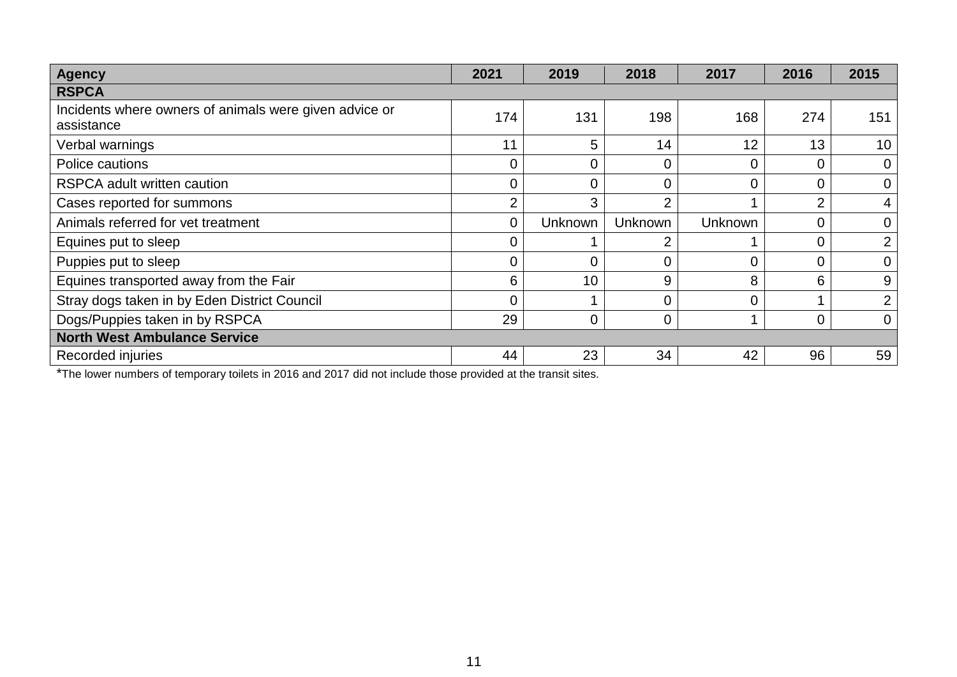| <b>Agency</b>                                                        | 2021     | 2019    | 2018           | 2017           | 2016           | 2015           |  |
|----------------------------------------------------------------------|----------|---------|----------------|----------------|----------------|----------------|--|
| <b>RSPCA</b>                                                         |          |         |                |                |                |                |  |
| Incidents where owners of animals were given advice or<br>assistance | 174      | 131     | 198            | 168            | 274            | 151            |  |
| Verbal warnings                                                      | 11       | 5       | 14             | 12             | 13             | 10             |  |
| Police cautions                                                      |          |         | $\mathbf 0$    |                |                | 0              |  |
| <b>RSPCA adult written caution</b>                                   | $\Omega$ | 0       | $\Omega$       | 0              | $\overline{0}$ | $\overline{0}$ |  |
| Cases reported for summons                                           | ◠        | 3       | 2              |                | $\overline{2}$ |                |  |
| Animals referred for vet treatment                                   | $\Omega$ | Unknown | Unknown        | <b>Unknown</b> | $\overline{0}$ | 0              |  |
| Equines put to sleep                                                 |          |         | $\overline{2}$ |                | 0              | 2              |  |
| Puppies put to sleep                                                 |          |         | $\overline{0}$ | 0              | 0              | 0              |  |
| Equines transported away from the Fair                               | 6        | 10      | 9              | 8              | 6              | 9              |  |
| Stray dogs taken in by Eden District Council                         |          |         | 0              |                |                | $\overline{2}$ |  |
| Dogs/Puppies taken in by RSPCA                                       | 29       | 0       | $\overline{0}$ |                | $\overline{0}$ | $\Omega$       |  |
| <b>North West Ambulance Service</b>                                  |          |         |                |                |                |                |  |
| Recorded injuries                                                    | 44       | 23      | 34             | 42             | 96             | 59             |  |

\*The lower numbers of temporary toilets in 2016 and 2017 did not include those provided at the transit sites.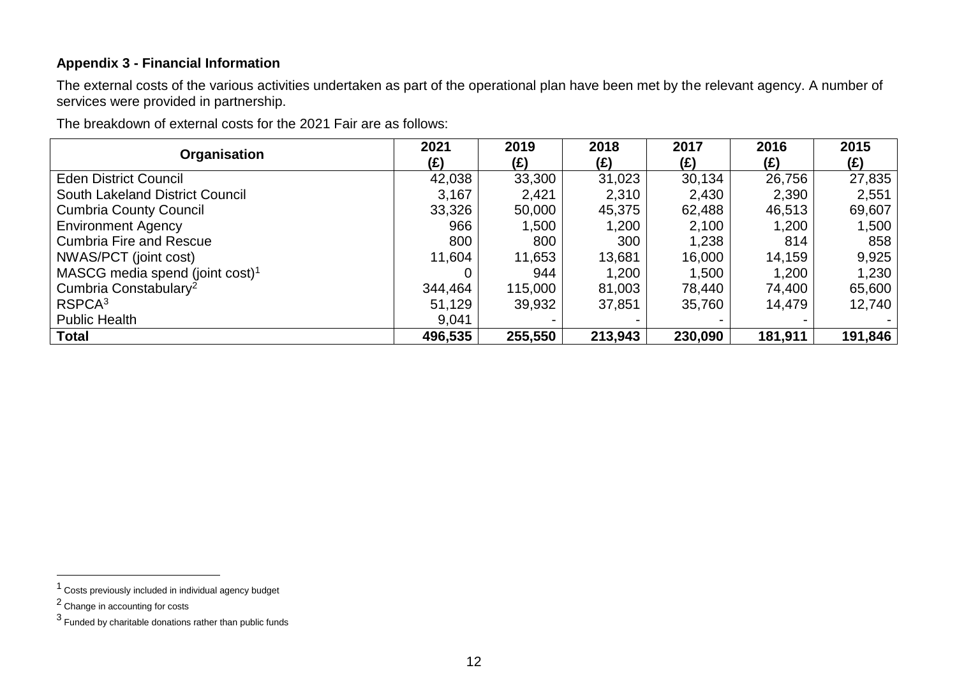#### **Appendix 3 - Financial Information**

The external costs of the various activities undertaken as part of the operational plan have been met by the relevant agency. A number of services were provided in partnership.

The breakdown of external costs for the 2021 Fair are as follows:

| Organisation                                | 2021<br>(£) | 2019<br>(£) | 2018<br>(£) | 2017<br>(E) | 2016<br>(E) | 2015<br>$(\hat{z})$ |
|---------------------------------------------|-------------|-------------|-------------|-------------|-------------|---------------------|
| <b>Eden District Council</b>                | 42,038      | 33,300      | 31,023      | 30,134      | 26,756      | 27,835              |
| <b>South Lakeland District Council</b>      | 3,167       | 2,421       | 2,310       | 2,430       | 2,390       | 2,551               |
| <b>Cumbria County Council</b>               | 33,326      | 50,000      | 45,375      | 62,488      | 46,513      | 69,607              |
| <b>Environment Agency</b>                   | 966         | 1,500       | 1,200       | 2,100       | 1,200       | 1,500               |
| <b>Cumbria Fire and Rescue</b>              | 800         | 800         | 300         | 1,238       | 814         | 858                 |
| NWAS/PCT (joint cost)                       | 11,604      | 11,653      | 13,681      | 16,000      | 14,159      | 9,925               |
| MASCG media spend (joint cost) <sup>1</sup> |             | 944         | 1,200       | 1,500       | 1,200       | 1,230               |
| Cumbria Constabulary <sup>2</sup>           | 344,464     | 115,000     | 81,003      | 78,440      | 74,400      | 65,600              |
| RSPCA <sup>3</sup>                          | 51,129      | 39,932      | 37,851      | 35,760      | 14,479      | 12,740              |
| <b>Public Health</b>                        | 9,041       |             |             |             |             |                     |
| <b>Total</b>                                | 496,535     | 255,550     | 213,943     | 230,090     | 181,911     | 191,846             |

 $\overline{a}$ 

<sup>1</sup> Costs previously included in individual agency budget

<sup>2</sup> Change in accounting for costs

 $3$  Funded by charitable donations rather than public funds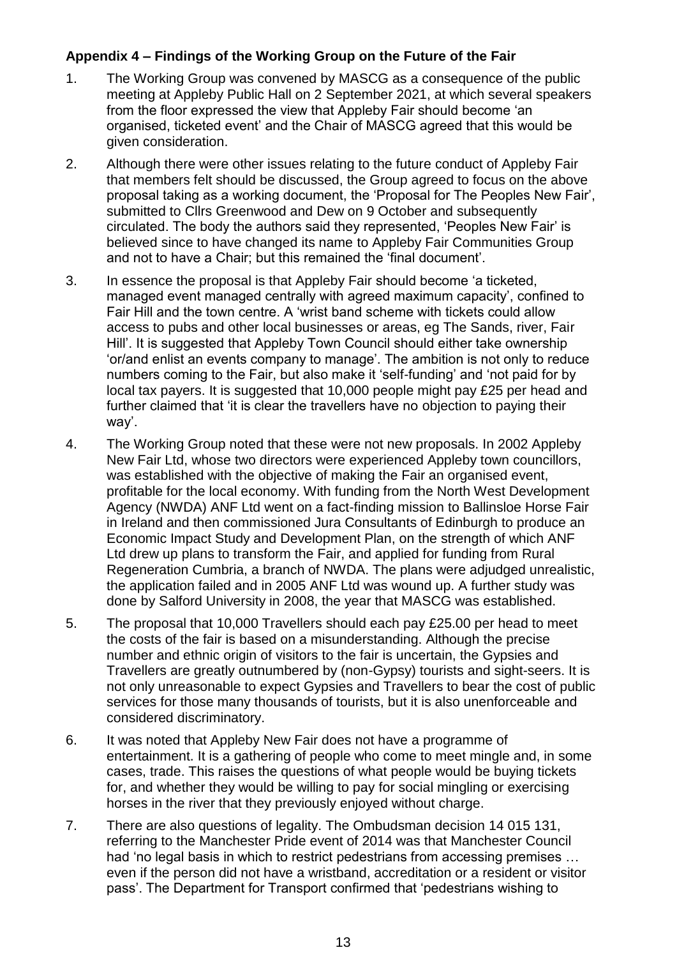# **Appendix 4 – Findings of the Working Group on the Future of the Fair**

- 1. The Working Group was convened by MASCG as a consequence of the public meeting at Appleby Public Hall on 2 September 2021, at which several speakers from the floor expressed the view that Appleby Fair should become 'an organised, ticketed event' and the Chair of MASCG agreed that this would be given consideration.
- 2. Although there were other issues relating to the future conduct of Appleby Fair that members felt should be discussed, the Group agreed to focus on the above proposal taking as a working document, the 'Proposal for The Peoples New Fair', submitted to Cllrs Greenwood and Dew on 9 October and subsequently circulated. The body the authors said they represented, 'Peoples New Fair' is believed since to have changed its name to Appleby Fair Communities Group and not to have a Chair; but this remained the 'final document'.
- 3. In essence the proposal is that Appleby Fair should become 'a ticketed, managed event managed centrally with agreed maximum capacity', confined to Fair Hill and the town centre. A 'wrist band scheme with tickets could allow access to pubs and other local businesses or areas, eg The Sands, river, Fair Hill'. It is suggested that Appleby Town Council should either take ownership 'or/and enlist an events company to manage'. The ambition is not only to reduce numbers coming to the Fair, but also make it 'self-funding' and 'not paid for by local tax payers. It is suggested that 10,000 people might pay £25 per head and further claimed that 'it is clear the travellers have no objection to paying their way'.
- 4. The Working Group noted that these were not new proposals. In 2002 Appleby New Fair Ltd, whose two directors were experienced Appleby town councillors, was established with the objective of making the Fair an organised event, profitable for the local economy. With funding from the North West Development Agency (NWDA) ANF Ltd went on a fact-finding mission to Ballinsloe Horse Fair in Ireland and then commissioned Jura Consultants of Edinburgh to produce an Economic Impact Study and Development Plan, on the strength of which ANF Ltd drew up plans to transform the Fair, and applied for funding from Rural Regeneration Cumbria, a branch of NWDA. The plans were adjudged unrealistic, the application failed and in 2005 ANF Ltd was wound up. A further study was done by Salford University in 2008, the year that MASCG was established.
- 5. The proposal that 10,000 Travellers should each pay £25.00 per head to meet the costs of the fair is based on a misunderstanding. Although the precise number and ethnic origin of visitors to the fair is uncertain, the Gypsies and Travellers are greatly outnumbered by (non-Gypsy) tourists and sight-seers. It is not only unreasonable to expect Gypsies and Travellers to bear the cost of public services for those many thousands of tourists, but it is also unenforceable and considered discriminatory.
- 6. It was noted that Appleby New Fair does not have a programme of entertainment. It is a gathering of people who come to meet mingle and, in some cases, trade. This raises the questions of what people would be buying tickets for, and whether they would be willing to pay for social mingling or exercising horses in the river that they previously enjoyed without charge.
- 7. There are also questions of legality. The Ombudsman decision 14 015 131, referring to the Manchester Pride event of 2014 was that Manchester Council had 'no legal basis in which to restrict pedestrians from accessing premises … even if the person did not have a wristband, accreditation or a resident or visitor pass'. The Department for Transport confirmed that 'pedestrians wishing to